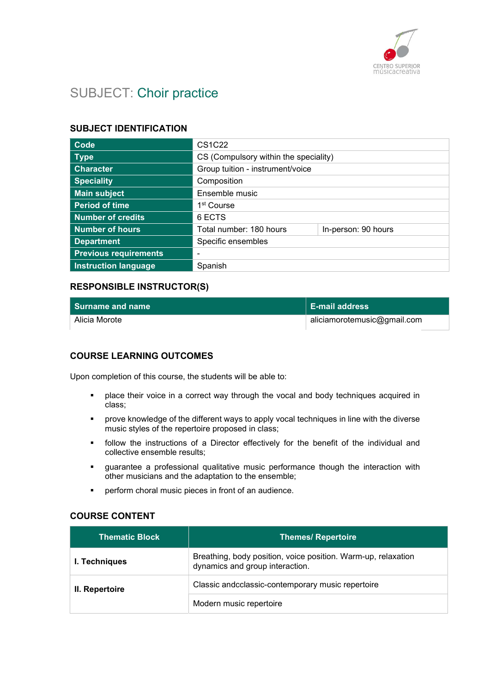

# SUBJECT: Choir practice

# SUBJECT IDENTIFICATION

| Code                         | <b>CS1C22</b>                         |                     |
|------------------------------|---------------------------------------|---------------------|
| <b>Type</b>                  | CS (Compulsory within the speciality) |                     |
| <b>Character</b>             | Group tuition - instrument/voice      |                     |
| <b>Speciality</b>            | Composition                           |                     |
| <b>Main subject</b>          | Ensemble music                        |                     |
| <b>Period of time</b>        | 1 <sup>st</sup> Course                |                     |
| <b>Number of credits</b>     | 6 ECTS                                |                     |
| <b>Number of hours</b>       | Total number: 180 hours               | In-person: 90 hours |
| <b>Department</b>            | Specific ensembles                    |                     |
| <b>Previous requirements</b> |                                       |                     |
| <b>Instruction language</b>  | Spanish                               |                     |

# RESPONSIBLE INSTRUCTOR(S)

| Surname and name | ∣ E-mail address∣           |
|------------------|-----------------------------|
| Alicia Morote    | aliciamorotemusic@gmail.com |

# COURSE LEARNING OUTCOMES

Upon completion of this course, the students will be able to:

- **•** place their voice in a correct way through the vocal and body techniques acquired in class;
- prove knowledge of the different ways to apply vocal techniques in line with the diverse music styles of the repertoire proposed in class;
- follow the instructions of a Director effectively for the benefit of the individual and collective ensemble results;
- guarantee a professional qualitative music performance though the interaction with other musicians and the adaptation to the ensemble;
- perform choral music pieces in front of an audience.

#### COURSE CONTENT

| <b>Thematic Block</b> | <b>Themes/ Repertoire</b>                                                                        |
|-----------------------|--------------------------------------------------------------------------------------------------|
| I. Techniques         | Breathing, body position, voice position. Warm-up, relaxation<br>dynamics and group interaction. |
| II. Repertoire        | Classic andcclassic-contemporary music repertoire                                                |
|                       | Modern music repertoire                                                                          |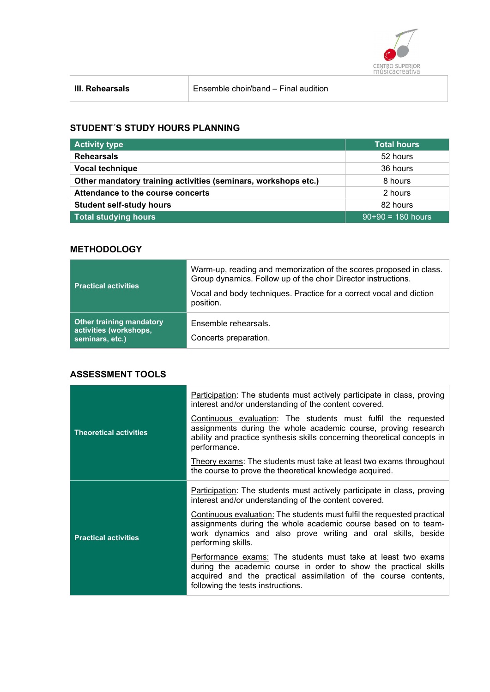

# STUDENT´S STUDY HOURS PLANNING

| <b>Activity type</b>                                           | Total hours         |
|----------------------------------------------------------------|---------------------|
| <b>Rehearsals</b>                                              | 52 hours            |
| Vocal technique                                                | 36 hours            |
| Other mandatory training activities (seminars, workshops etc.) | 8 hours             |
| Attendance to the course concerts                              | 2 hours             |
| <b>Student self-study hours</b>                                | 82 hours            |
| <b>Total studying hours</b>                                    | $90+90 = 180$ hours |

# **METHODOLOGY**

| <b>Practical activities</b>                                                  | Warm-up, reading and memorization of the scores proposed in class.<br>Group dynamics. Follow up of the choir Director instructions.<br>Vocal and body techniques. Practice for a correct vocal and diction<br>position. |
|------------------------------------------------------------------------------|-------------------------------------------------------------------------------------------------------------------------------------------------------------------------------------------------------------------------|
| <b>Other training mandatory</b><br>activities (workshops,<br>seminars, etc.) | Ensemble rehearsals.<br>Concerts preparation.                                                                                                                                                                           |

# ASSESSMENT TOOLS

|                               | Participation: The students must actively participate in class, proving<br>interest and/or understanding of the content covered.                                                                                                         |
|-------------------------------|------------------------------------------------------------------------------------------------------------------------------------------------------------------------------------------------------------------------------------------|
| <b>Theoretical activities</b> | Continuous evaluation: The students must fulfil the requested<br>assignments during the whole academic course, proving research<br>ability and practice synthesis skills concerning theoretical concepts in<br>performance.              |
|                               | Theory exams: The students must take at least two exams throughout<br>the course to prove the theoretical knowledge acquired.                                                                                                            |
|                               | <b>Participation:</b> The students must actively participate in class, proving<br>interest and/or understanding of the content covered.                                                                                                  |
| <b>Practical activities</b>   | Continuous evaluation: The students must fulfil the requested practical<br>assignments during the whole academic course based on to team-<br>work dynamics and also prove writing and oral skills, beside<br>performing skills.          |
|                               | Performance exams: The students must take at least two exams<br>during the academic course in order to show the practical skills<br>acquired and the practical assimilation of the course contents,<br>following the tests instructions. |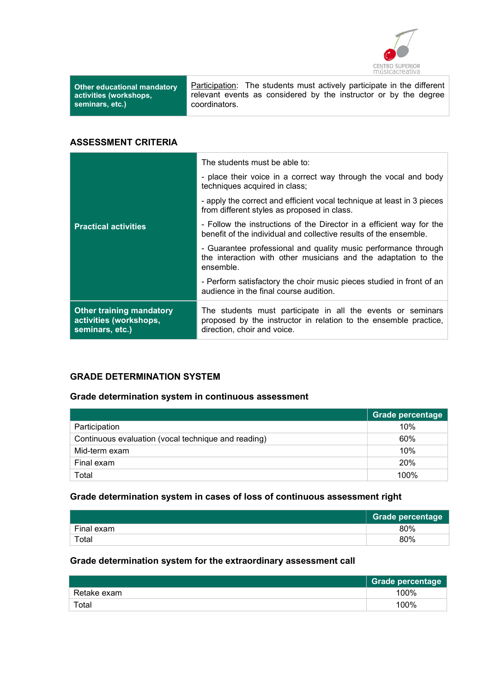

Other educational mandatory activities (workshops, seminars, etc.)

Participation: The students must actively participate in the different relevant events as considered by the instructor or by the degree coordinators.

# ASSESSMENT CRITERIA

|                                                                              | The students must be able to:                                                                                                                                  |
|------------------------------------------------------------------------------|----------------------------------------------------------------------------------------------------------------------------------------------------------------|
|                                                                              | - place their voice in a correct way through the vocal and body<br>techniques acquired in class;                                                               |
|                                                                              | - apply the correct and efficient vocal technique at least in 3 pieces<br>from different styles as proposed in class.                                          |
| <b>Practical activities</b>                                                  | - Follow the instructions of the Director in a efficient way for the<br>benefit of the individual and collective results of the ensemble.                      |
|                                                                              | - Guarantee professional and quality music performance through<br>the interaction with other musicians and the adaptation to the<br>ensemble.                  |
|                                                                              | - Perform satisfactory the choir music pieces studied in front of an<br>audience in the final course audition.                                                 |
| <b>Other training mandatory</b><br>activities (workshops,<br>seminars, etc.) | The students must participate in all the events or seminars<br>proposed by the instructor in relation to the ensemble practice,<br>direction, choir and voice. |

# GRADE DETERMINATION SYSTEM

# Grade determination system in continuous assessment

|                                                     | <b>Grade percentage</b> |
|-----------------------------------------------------|-------------------------|
| Participation                                       | 10%                     |
| Continuous evaluation (vocal technique and reading) | 60%                     |
| Mid-term exam                                       | 10%                     |
| Final exam                                          | <b>20%</b>              |
| Total                                               | 100%                    |

# Grade determination system in cases of loss of continuous assessment right

|            | <b>Grade percentage</b> |
|------------|-------------------------|
| Final exam | 80%                     |
| Total      | 80%                     |

#### Grade determination system for the extraordinary assessment call

|             | Grade percentage |
|-------------|------------------|
| Retake exam | 100%             |
| Total       | 100%             |